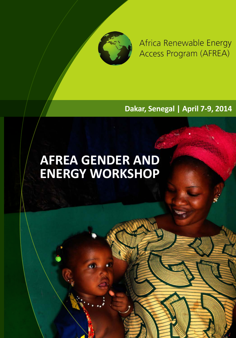

Africa Renewable Energy Access Program (AFREA)

**Dakar, Senegal | April 7-9, 2014**

# **AFREA GENDER AND ENERGY WORKSHOP**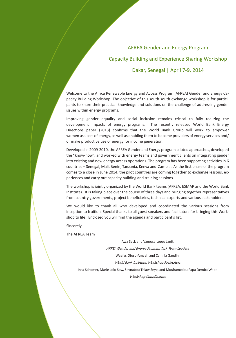## AFREA Gender and Energy Program

# Capacity Building and Experience Sharing Workshop Dakar, Senegal | April 7-9, 2014

Welcome to the Africa Renewable Energy and Access Program (AFREA) Gender and Energy Capacity Building Workshop. The objective of this south-south exchange workshop is for participants to share their practical knowledge and solutions on the challenge of addressing gender issues within energy programs.

Improving gender equality and social inclusion remains critical to fully realizing the development impacts of energy programs. The recently released World Bank Energy Directions paper (2013) confirms that the World Bank Group will work to empower women as users of energy, as well as enabling them to become providers of energy services and/ or make productive use of energy for income generation.

Developed in 2009-2010, the AFREA Gender and Energy program piloted approaches, developed the "know-how", and worked with energy teams and government clients on integrating gender into existing and new energy access operations. The program has been supporting activities in 6 countries – Senegal, Mali, Benin, Tanzania, Kenya and Zambia. As the first phase of the program comes to a close in June 2014, the pilot countries are coming together to exchange lessons, experiences and carry out capacity building and training sessions.

The workshop is jointly organized by the World Bank teams (AFREA, ESMAP and the World Bank Institute). It is taking place over the course of three days and bringing together representatives from country governments, project beneficiaries, technical experts and various stakeholders.

We would like to thank all who developed and coordinated the various sessions from inception to fruition. Special thanks to all guest speakers and facilitators for bringing this Workshop to life. Enclosed you will find the agenda and participant's list.

Sincerely

The AFREA Team

Awa Seck and Vanessa Lopes Janik

AFREA Gender and Energy Program Task Team Leaders Waafas Ofosu-Amaah and Camilla Gandini

World Bank Institute, Workshop Facilitators

Inka Schomer, Marie Lolo Sow, Seynabou Thiaw Seye, and Mouhamedou Papa Demba Wade Workshop Coordinators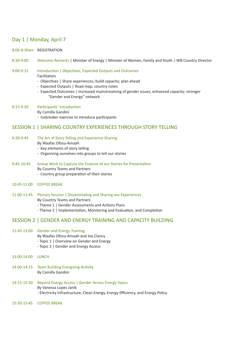## Day 1 | Monday, April 7

#### 8:00-8:30am REGISTRATION

8:30-9:00 Welcome Remarks | Minister of Energy | Minister of Women, Family and Youth | WB Country Director

9:00-9:15 Introduction | Objectives, Expected Outputs and Outcomes Facilitators

- Objectives | Share experiences; build capacity; plan ahead
- Expected Outputs | Road map; country notes
- Expected Outcomes | Increased mainstreaming of gender issues; enhanced capacity; stronger "Gender and Energy" network

#### 9:15-9:30 Participants' Introduction

- By Camilla Gandini
- Icebreaker exercise to introduce participants

## SESSION 1 | SHARING COUNTRY EXPERIENCES THROUGH STORY TELLING

#### 9:30-9:45 The Art of Story Telling and Experience Sharing

- By Waafas Ofosu-Amaah
- Key elements of story telling
- Organizing ourselves into groups to tell our stories

## 9:45-10:45 Group Work to Capture the Essence of our Stories for Presentation

- By Country Teams and Partners
- Country group preparation of their stories
- 10:45-11:00 COFFEE BREAK
- 11:00-11:45 Plenary Session | Disseminating and Sharing our Experiences By Country Teams and Partners
	- Theme 1 | Gender Assessments and Actions Plans
	- Theme 2 | Implementation, Monitoring and Evaluation, and Completion

## SESSION 2 | GENDER AND ENERGY TRAINING AND CAPACITY BUILDING

- 11:45-13:00 Gender and Energy Training
	- By Waafas Ofosu-Amaah and Joy Clancy
	- Topic 1 | Overview on Gender and Energy
	- Topic 2 | Gender and Energy Access
- 13:00-14:00 LUNCH
- 14:00-14:15 Team Building Energizing Activity By Camilla Gandini
- 14:15-15:30 Beyond Energy Access | Gender Across Energy Topics By Vanessa Lopes Janik - Electricity Infrastructure, Clean Energy, Energy Efficiency, and Energy Policy
- 15:30-15:45 COFFEE BREAK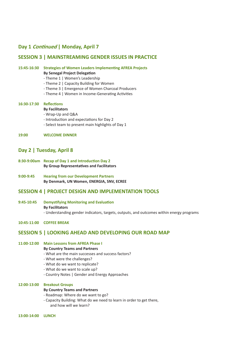## **Day 1 Continued | Monday, April 7**

## **SESSION 3 | MAINSTREAMING GENDER ISSUES IN PRACTICE**

## **15:45-16:30 Strategies of Women Leaders Implementing AFREA Projects**

**By Senegal Project Delegation**

- Theme 1 | Women's Leadership
- Theme 2 | Capacity Building for Women
- Theme 3 | Emergence of Women Charcoal Producers
- Theme 4 | Women in Income-Generating Activities

#### **16:30-17:30 Reflections**

#### **By Facilitators**

- Wrap-Up and Q&A
- Introduction and expectations for Day 2
- Select team to present main highlights of Day 1

#### **19:00 WELCOME DINNER**

## **Day 2 | Tuesday, April 8**

- **8:30-9:00am Recap of Day 1 and Introduction Day 2 By Group Representatives and Facilitators**
- **9:00-9:45 Hearing from our Development Partners By Denmark, UN Women, ENERGIA, SNV, ECREE**

## **SESSION 4 | PROJECT DESIGN AND IMPLEMENTATION TOOLS**

**9:45-10:45 Demystifying Monitoring and Evaluation By Facilitators** - Understanding gender indicators, targets, outputs, and outcomes within energy programs

#### **10:45-11:00 COFFEE BREAK**

## **SESSION 5 | LOOKING AHEAD AND DEVELOPING OUR ROAD MAP**

## **11:00-12:00 Main Lessons from AFREA Phase I**

#### **By Country Teams and Partners**

- What are the main successes and success factors?
- What were the challenges?
- What do we want to replicate?
- What do we want to scale up?
- Country Notes | Gender and Energy Approaches

#### **12:00-13:00 Breakout Groups**

#### **By Country Teams and Partners**

- Roadmap: Where do we want to go?
- Capacity Building: What do we need to learn in order to get there, and how will we learn?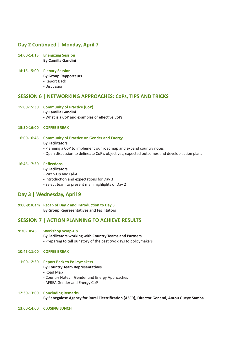## **Day 2 Continued | Monday, April 7**

- **14:00-14:15 Energizing Session By Camilla Gandini**
- **14:15-15:00 Plenary Session By Group Rapporteurs** - Report Back - Discussion

## **SESSION 6 | NETWORKING APPROACHES: CoPs, TIPS AND TRICKS**

**15:00-15:30 Community of Practice (CoP) By Camilla Gandini** - What is a CoP and examples of effective CoPs

#### **15:30-16:00 COFFEE BREAK**

**16:00-16:45 Community of Practice on Gender and Energy By Facilitators** - Planning a CoP to implement our roadmap and expand country notes - Open discussion to delineate CoP's objectives, expected outcomes and develop action plans

#### **16:45-17:30 Reflections**

#### **By Facilitators**

- Wrap-Up and Q&A
- Introduction and expectations for Day 3
- Select team to present main highlights of Day 2

## **Day 3 | Wednesday, April 9**

**9:00-9:30am Recap of Day 2 and Introduction to Day 3 By Group Representatives and Facilitators**

## **SESSION 7 | ACTION PLANNING TO ACHIEVE RESULTS**

- **9:30-10:45 Workshop Wrap-Up**
	- **By Facilitators working with Country Teams and Partners** - Preparing to tell our story of the past two days to policymakers
- **10:45-11:00 COFFEE BREAK**

#### **11:00-12:30 Report Back to Policymakers**

#### **By Country Team Representatives**

- Road Map
- Country Notes | Gender and Energy Approaches
- AFREA Gender and Energy CoP

#### **12:30-13:00 Concluding Remarks**

**By Senegalese Agency for Rural Electrification (ASER), Director General, Antou Gueye Samba**

**13:00-14:00 CLOSING LUNCH**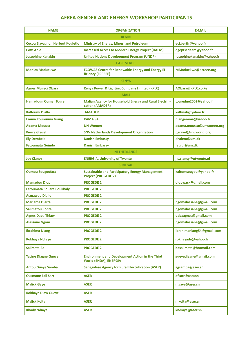## **AFREA GENDER AND ENERGY WORKSHOP PARTICIPANTS**

| <b>NAME</b>                             | <b>ORGANIZATION</b>                                                                  | <b>E-MAIL</b>             |  |
|-----------------------------------------|--------------------------------------------------------------------------------------|---------------------------|--|
| <b>BENIN</b>                            |                                                                                      |                           |  |
| <b>Cocou Elavagnon Herbert Kouletio</b> | Ministry of Energy, Mines, and Petroleum                                             | eckbertfr@yahoo.fr        |  |
| Coffi Able                              | <b>Increased Access to Modern Energy Project (DAEM)</b>                              | dgepfsedaem@yahoo.fr      |  |
| <b>Josephine Kanakin</b>                | <b>United Nations Development Program (UNDP)</b>                                     | josephinekanakin@yahoo.fr |  |
| <b>CAPE VERDE</b>                       |                                                                                      |                           |  |
| <b>Monica Maduekwe</b>                  | <b>ECOWAS Centre for Renewable Energy and Energy Ef-</b><br>ficiency (ECREEE)        | MMaduekwe@ecreee.org      |  |
| <b>KENYA</b>                            |                                                                                      |                           |  |
| <b>Agnes Mugeci Obara</b>               | Kenya Power & Lighting Company Limited (KPLC)                                        | AObara@KPLC.co.ke         |  |
| <b>MALI</b>                             |                                                                                      |                           |  |
| <b>Hamadoun Oumar Toure</b>             | <b>Malian Agency for Household Energy and Rural Electrifi-</b><br>cation (AMADER)    | touredne2002@yahoo.fr     |  |
| <b>Kaltoumi Diallo</b>                  | <b>AMADER</b>                                                                        | kaltinab@yahoo.fr         |  |
| <b>Emma Kourouma Niang</b>              | <b>KAMA SA</b>                                                                       | niangemma@yahoo.fr        |  |
| <b>Adama Moussa</b>                     | <b>UN Women</b>                                                                      | adama.moussa@unwomen.org  |  |
| <b>Pierre Gravel</b>                    | <b>SNV Netherlands Development Organization</b>                                      | pgravel@snvworld.org      |  |
| <b>Ely Dembele</b>                      | <b>Danish Embassy</b>                                                                | elydem@um.dk              |  |
| <b>Fatoumata Guindo</b>                 | <b>Danish Embassy</b>                                                                | fatgui@um.dk              |  |
| <b>NETHERLANDS</b>                      |                                                                                      |                           |  |
| <b>Joy Clancy</b>                       | <b>ENERGIA, University of Twente</b>                                                 | j.s.clancy@utwente.nl     |  |
| <b>SENEGAL</b>                          |                                                                                      |                           |  |
| <b>Oumou Sougoufara</b>                 | <b>Sustainable and Participatory Energy Management</b><br><b>Project (PROGEDE 2)</b> | kaltomsougou@yahoo.fr     |  |
| <b>Mamadou Diop</b>                     | <b>PROGEDE 2</b>                                                                     | diopwack@gmail.com        |  |
| <b>Fatoumata Souaré Coulibaly</b>       | <b>PROGEDE 2</b>                                                                     |                           |  |
| <b>Asmawou Diallo</b>                   | <b>PROGEDE 2</b>                                                                     |                           |  |
| <b>Mariama Diarra</b>                   | <b>PROGEDE 2</b>                                                                     | ngomalassane@gmail.com    |  |
| Salimatou Konté                         | <b>PROGEDE 2</b>                                                                     | ngomalassane@gmail.com    |  |
| <b>Agnes Daba Thiaw</b>                 | <b>PROGEDE 2</b>                                                                     | dabaagnes@gmail.com       |  |
| <b>Alassane Ngom</b>                    | <b>PROGEDE 2</b>                                                                     | ngomalassane@gmail.com    |  |
| <b>Ibrahima Niang</b>                   | <b>PROGEDE 2</b>                                                                     | ibrahimaniang54@gmail.com |  |
| Rokhaya Ndiaye                          | <b>PROGEDE 2</b>                                                                     | rokhayade@yahoo.fr        |  |
| Salimata Ba                             | <b>PROGEDE 2</b>                                                                     | basalimata@hotmail.com    |  |
| <b>Yacine Diagne Gueye</b>              | <b>Environment and Development Action in the Third</b><br>World (ENDA), ENERGIA      | gueyediagne@gmail.com     |  |
| <b>Antou Gueye Samba</b>                | <b>Senegalese Agency for Rural Electrification (ASER)</b>                            | agsamba@aser.sn           |  |
| <b>Ousmane Fall Sarr</b>                | <b>ASER</b>                                                                          | ofsarr@aser.sn            |  |
| <b>Malick Gaye</b>                      | <b>ASER</b>                                                                          | mgaye@aser.sn             |  |
| <b>Rokhaya Diaw Gueye</b>               | <b>ASER</b>                                                                          |                           |  |
| <b>Malick Koita</b>                     | <b>ASER</b>                                                                          | mkoita@aser.sn            |  |
| <b>Khady Ndiaye</b>                     | <b>ASER</b>                                                                          | kndiaye@aser.sn           |  |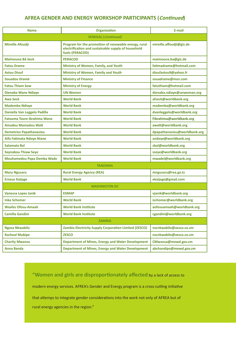## **AFREA GENDER AND ENERGY WORKSHOP PARTICIPANTS (Continued)**

| <b>Name</b>                        | <b>Organization</b>                                                                                                            | E-mail                       |  |
|------------------------------------|--------------------------------------------------------------------------------------------------------------------------------|------------------------------|--|
| <b>SENEGAL</b> (Continued)         |                                                                                                                                |                              |  |
| Mireille Afoudji                   | Program for the promotion of renewable energy, rural<br>electrification and sustainable supply of household<br>fuels (PERACOD) | mireille.affoudji@giz.de     |  |
| Maïmouna Bâ Seck                   | <b>PERACOD</b>                                                                                                                 | maimouna.ba@giz.de           |  |
| <b>Fatou Drame</b>                 | Ministry of Women, Family, and Youth                                                                                           | fatimadrame@hotmail.com      |  |
| <b>Astou Diouf</b>                 | Ministry of Women, Family and Youth                                                                                            | dioufastou9@yahoo.fr         |  |
| <b>Souadou Dramé</b>               | <b>Ministry of Finance</b>                                                                                                     | souadrame@msn.com            |  |
| <b>Fatou Thiam Sow</b>             | <b>Ministry of Energy</b>                                                                                                      | fatuthiam@hotmail.com        |  |
| Dienaba Wane Ndiaye                | <b>UN Women</b>                                                                                                                | dienaba.ndiaye@unwoman.org   |  |
| <b>Awa Seck</b>                    | <b>World Bank</b>                                                                                                              | afseck@worldbank.org         |  |
| <b>Mademba Ndiaye</b>              | <b>World Bank</b>                                                                                                              | mademba@worldbank.org        |  |
| Daniella Van Leggelo Padilla       | <b>World Bank</b>                                                                                                              | dvanleggelo@worldbank.org    |  |
| <b>Fatouma Toure Ibrahima Wane</b> | <b>World Bank</b>                                                                                                              | Fibrahima@worldbank.org      |  |
| Amadou Mamadou Watt                | <b>World Bank</b>                                                                                                              | awatt@worldbank.org          |  |
| <b>Demetrios Papathanasiou</b>     | <b>World Bank</b>                                                                                                              | dpapathanasiou@worldbank.org |  |
| Aifa Fatimata Ndoye Niane          | <b>World Bank</b>                                                                                                              | andoye@worldbank.org         |  |
| Salamata Bal                       | <b>World Bank</b>                                                                                                              | sbal@worldbank.org           |  |
| <b>Seynabou Thiaw Seye</b>         | <b>World Bank</b>                                                                                                              | sseye@worldbank.org          |  |
| <b>Mouhamedou Papa Demba Wade</b>  | <b>World Bank</b>                                                                                                              | mwadel@worldbank.org         |  |
| <b>TANZANIA</b>                    |                                                                                                                                |                              |  |
| <b>Mary Ngusaru</b>                | <b>Rural Energy Agency (REA)</b>                                                                                               | mngusaru@rea.go.tz           |  |
| <b>Erneus Kaijage</b>              | <b>World Bank</b>                                                                                                              | ekaijage@gmail.com           |  |
| <b>WASHINGTON DC</b>               |                                                                                                                                |                              |  |
| <b>Vanessa Lopes Janik</b>         | <b>ESMAP</b>                                                                                                                   | vjanik@worldbank.org         |  |
| <b>Inka Schomer</b>                | <b>World Bank</b>                                                                                                              | ischomer@worldbank.org       |  |
| Waafas Ofosu-Amaah                 | <b>World Bank Institute</b>                                                                                                    | aofosuamaah@worldbank.org    |  |
| Camilla Gandini                    | <b>World Bank Institute</b>                                                                                                    | cgandini@worldbank.org       |  |
| <b>ZAMBIA</b>                      |                                                                                                                                |                              |  |
| Ngoza Nkwabilo                     | <b>Zambia Electricity Supply Corporation Limited (ZESCO)</b>                                                                   | nscnkwabilo@zesco.co.zm      |  |
| <b>Racheal Mubipe</b>              | <b>ZESCO</b>                                                                                                                   | nscnkwabilo@zesco.co.zm      |  |
| <b>Charity Mwansa</b>              | <b>Department of Mines, Energy and Water Development</b>                                                                       | CMwansa@mewd.gov.zm          |  |
| <b>Anna Banda</b>                  | Department of Mines, Energy and Water Development                                                                              | abchandipo@mewd.gov.zm       |  |

**"Women and girls are disproportionately affected** by a lack of access to modern energy services. AFREA's Gender and Energy program is a cross-cutting initiative that attemps to integrate gender considerations into the work not only of AFREA but of rural energy agencies in the region."